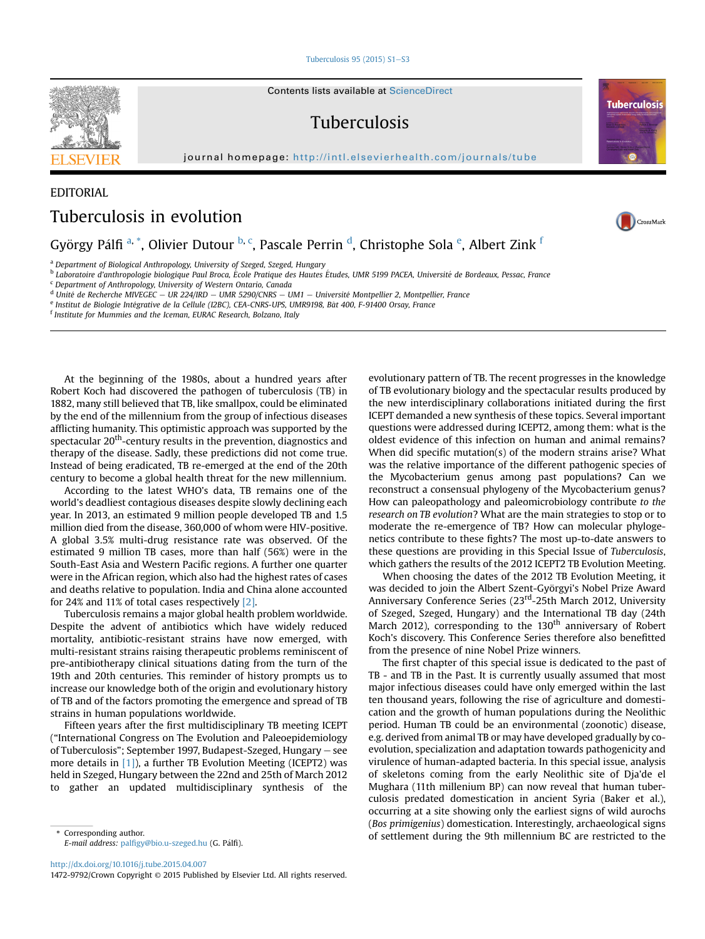Tuberculosis 95 (2015)  $S1 - S3$  $S1 - S3$ 

Contents lists available at ScienceDirect

Tuberculosis

journal homepage: <http://intl.elsevierhealth.com/journals/tube>

## EDITORIAL

## Tuberculosis in evolution

György Pálfi<sup>a, \*</sup>, Olivier Dutour <sup>b, c</sup>, Pascale Perrin <sup>d</sup>, Christophe Sola <sup>e</sup>, Albert Zink <sup>f</sup>

a Department of Biological Anthropology, University of Szeged, Szeged, Hungary

<sup>b</sup> Laboratoire d'anthropologie biologique Paul Broca, École Pratique des Hautes Études, UMR 5199 PACEA, Université de Bordeaux, Pessac, France

<sup>c</sup> Department of Anthropology, University of Western Ontario, Canada

<sup>d</sup> Unité de Recherche MIVEGEC – UR 224/IRD – UMR 5290/CNRS – UM1 – Université Montpellier 2, Montpellier, France

e Institut de Biologie Intégrative de la Cellule (I2BC), CEA-CNRS-UPS, UMR9198, Bât 400, F-91400 Orsay, France

<sup>f</sup> Institute for Mummies and the Iceman, EURAC Research, Bolzano, Italy

At the beginning of the 1980s, about a hundred years after Robert Koch had discovered the pathogen of tuberculosis (TB) in 1882, many still believed that TB, like smallpox, could be eliminated by the end of the millennium from the group of infectious diseases afflicting humanity. This optimistic approach was supported by the spectacular 20<sup>th</sup>-century results in the prevention, diagnostics and therapy of the disease. Sadly, these predictions did not come true. Instead of being eradicated, TB re-emerged at the end of the 20th century to become a global health threat for the new millennium.

According to the latest WHO's data, TB remains one of the world's deadliest contagious diseases despite slowly declining each year. In 2013, an estimated 9 million people developed TB and 1.5 million died from the disease, 360,000 of whom were HIV-positive. A global 3.5% multi-drug resistance rate was observed. Of the estimated 9 million TB cases, more than half (56%) were in the South-East Asia and Western Pacific regions. A further one quarter were in the African region, which also had the highest rates of cases and deaths relative to population. India and China alone accounted for 24% and 11% of total cases respectively [\[2\]](#page-2-0).

Tuberculosis remains a major global health problem worldwide. Despite the advent of antibiotics which have widely reduced mortality, antibiotic-resistant strains have now emerged, with multi-resistant strains raising therapeutic problems reminiscent of pre-antibiotherapy clinical situations dating from the turn of the 19th and 20th centuries. This reminder of history prompts us to increase our knowledge both of the origin and evolutionary history of TB and of the factors promoting the emergence and spread of TB strains in human populations worldwide.

Fifteen years after the first multidisciplinary TB meeting ICEPT ("International Congress on The Evolution and Paleoepidemiology of Tuberculosis"; September 1997, Budapest-Szeged, Hungary – see more details in [\[1\]\)](#page-2-0), a further TB Evolution Meeting (ICEPT2) was held in Szeged, Hungary between the 22nd and 25th of March 2012 to gather an updated multidisciplinary synthesis of the

E-mail address: palfi[gy@bio.u-szeged.hu](mailto:palfigy@bio.u-szeged.hu) (G. Pálfi).

<http://dx.doi.org/10.1016/j.tube.2015.04.007>

1472-9792/Crown Copyright © 2015 Published by Elsevier Ltd. All rights reserved.

evolutionary pattern of TB. The recent progresses in the knowledge of TB evolutionary biology and the spectacular results produced by the new interdisciplinary collaborations initiated during the first ICEPT demanded a new synthesis of these topics. Several important questions were addressed during ICEPT2, among them: what is the oldest evidence of this infection on human and animal remains? When did specific mutation(s) of the modern strains arise? What was the relative importance of the different pathogenic species of the Mycobacterium genus among past populations? Can we reconstruct a consensual phylogeny of the Mycobacterium genus? How can paleopathology and paleomicrobiology contribute to the research on TB evolution? What are the main strategies to stop or to moderate the re-emergence of TB? How can molecular phylogenetics contribute to these fights? The most up-to-date answers to these questions are providing in this Special Issue of Tuberculosis, which gathers the results of the 2012 ICEPT2 TB Evolution Meeting.

When choosing the dates of the 2012 TB Evolution Meeting, it was decided to join the Albert Szent-Györgyi's Nobel Prize Award Anniversary Conference Series (23<sup>rd</sup>-25th March 2012, University of Szeged, Szeged, Hungary) and the International TB day (24th March 2012), corresponding to the 130<sup>th</sup> anniversary of Robert Koch's discovery. This Conference Series therefore also benefitted from the presence of nine Nobel Prize winners.

The first chapter of this special issue is dedicated to the past of TB - and TB in the Past. It is currently usually assumed that most major infectious diseases could have only emerged within the last ten thousand years, following the rise of agriculture and domestication and the growth of human populations during the Neolithic period. Human TB could be an environmental (zoonotic) disease, e.g. derived from animal TB or may have developed gradually by coevolution, specialization and adaptation towards pathogenicity and virulence of human-adapted bacteria. In this special issue, analysis of skeletons coming from the early Neolithic site of Dja'de el Mughara (11th millenium BP) can now reveal that human tuberculosis predated domestication in ancient Syria (Baker et al.), occurring at a site showing only the earliest signs of wild aurochs (Bos primigenius) domestication. Interestingly, archaeological signs Corresponding author. The settlement during the 9th millennium BC are restricted to the the total and the settlement during the 9th millennium BC are restricted to the





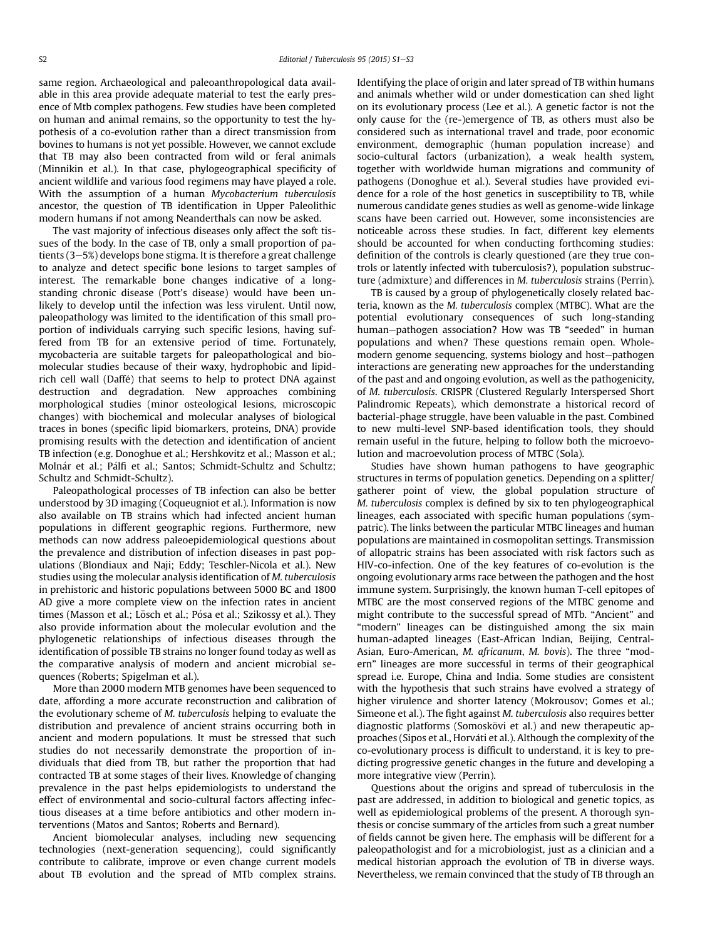same region. Archaeological and paleoanthropological data available in this area provide adequate material to test the early presence of Mtb complex pathogens. Few studies have been completed on human and animal remains, so the opportunity to test the hypothesis of a co-evolution rather than a direct transmission from bovines to humans is not yet possible. However, we cannot exclude that TB may also been contracted from wild or feral animals (Minnikin et al.). In that case, phylogeographical specificity of ancient wildlife and various food regimens may have played a role. With the assumption of a human Mycobacterium tuberculosis ancestor, the question of TB identification in Upper Paleolithic modern humans if not among Neanderthals can now be asked.

The vast majority of infectious diseases only affect the soft tissues of the body. In the case of TB, only a small proportion of patients  $(3-5%)$  develops bone stigma. It is therefore a great challenge to analyze and detect specific bone lesions to target samples of interest. The remarkable bone changes indicative of a longstanding chronic disease (Pott's disease) would have been unlikely to develop until the infection was less virulent. Until now, paleopathology was limited to the identification of this small proportion of individuals carrying such specific lesions, having suffered from TB for an extensive period of time. Fortunately, mycobacteria are suitable targets for paleopathological and biomolecular studies because of their waxy, hydrophobic and lipidrich cell wall (Daffé) that seems to help to protect DNA against destruction and degradation. New approaches combining morphological studies (minor osteological lesions, microscopic changes) with biochemical and molecular analyses of biological traces in bones (specific lipid biomarkers, proteins, DNA) provide promising results with the detection and identification of ancient TB infection (e.g. Donoghue et al.; Hershkovitz et al.; Masson et al.; Molnár et al.; Pálfi et al.; Santos; Schmidt-Schultz and Schultz; Schultz and Schmidt-Schultz).

Paleopathological processes of TB infection can also be better understood by 3D imaging (Coqueugniot et al.). Information is now also available on TB strains which had infected ancient human populations in different geographic regions. Furthermore, new methods can now address paleoepidemiological questions about the prevalence and distribution of infection diseases in past populations (Blondiaux and Naji; Eddy; Teschler-Nicola et al.). New studies using the molecular analysis identification of M. tuberculosis in prehistoric and historic populations between 5000 BC and 1800 AD give a more complete view on the infection rates in ancient times (Masson et al.; Lösch et al.; Pósa et al.; Szikossy et al.). They also provide information about the molecular evolution and the phylogenetic relationships of infectious diseases through the identification of possible TB strains no longer found today as well as the comparative analysis of modern and ancient microbial sequences (Roberts; Spigelman et al.).

More than 2000 modern MTB genomes have been sequenced to date, affording a more accurate reconstruction and calibration of the evolutionary scheme of M. tuberculosis helping to evaluate the distribution and prevalence of ancient strains occurring both in ancient and modern populations. It must be stressed that such studies do not necessarily demonstrate the proportion of individuals that died from TB, but rather the proportion that had contracted TB at some stages of their lives. Knowledge of changing prevalence in the past helps epidemiologists to understand the effect of environmental and socio-cultural factors affecting infectious diseases at a time before antibiotics and other modern interventions (Matos and Santos; Roberts and Bernard).

Ancient biomolecular analyses, including new sequencing technologies (next-generation sequencing), could significantly contribute to calibrate, improve or even change current models about TB evolution and the spread of MTb complex strains. Identifying the place of origin and later spread of TB within humans and animals whether wild or under domestication can shed light on its evolutionary process (Lee et al.). A genetic factor is not the only cause for the (re-)emergence of TB, as others must also be considered such as international travel and trade, poor economic environment, demographic (human population increase) and socio-cultural factors (urbanization), a weak health system, together with worldwide human migrations and community of pathogens (Donoghue et al.). Several studies have provided evidence for a role of the host genetics in susceptibility to TB, while numerous candidate genes studies as well as genome-wide linkage scans have been carried out. However, some inconsistencies are noticeable across these studies. In fact, different key elements should be accounted for when conducting forthcoming studies: definition of the controls is clearly questioned (are they true controls or latently infected with tuberculosis?), population substructure (admixture) and differences in M. tuberculosis strains (Perrin).

TB is caused by a group of phylogenetically closely related bacteria, known as the M. tuberculosis complex (MTBC). What are the potential evolutionary consequences of such long-standing human-pathogen association? How was TB "seeded" in human populations and when? These questions remain open. Wholemodern genome sequencing, systems biology and host-pathogen interactions are generating new approaches for the understanding of the past and and ongoing evolution, as well as the pathogenicity, of M. tuberculosis. CRISPR (Clustered Regularly Interspersed Short Palindromic Repeats), which demonstrate a historical record of bacterial-phage struggle, have been valuable in the past. Combined to new multi-level SNP-based identification tools, they should remain useful in the future, helping to follow both the microevolution and macroevolution process of MTBC (Sola).

Studies have shown human pathogens to have geographic structures in terms of population genetics. Depending on a splitter/ gatherer point of view, the global population structure of M. tuberculosis complex is defined by six to ten phylogeographical lineages, each associated with specific human populations (sympatric). The links between the particular MTBC lineages and human populations are maintained in cosmopolitan settings. Transmission of allopatric strains has been associated with risk factors such as HIV-co-infection. One of the key features of co-evolution is the ongoing evolutionary arms race between the pathogen and the host immune system. Surprisingly, the known human T-cell epitopes of MTBC are the most conserved regions of the MTBC genome and might contribute to the successful spread of MTb. "Ancient" and "modern" lineages can be distinguished among the six main human-adapted lineages (East-African Indian, Beijing, Central-Asian, Euro-American, M. africanum, M. bovis). The three "modern" lineages are more successful in terms of their geographical spread i.e. Europe, China and India. Some studies are consistent with the hypothesis that such strains have evolved a strategy of higher virulence and shorter latency (Mokrousov; Gomes et al.; Simeone et al.). The fight against M. tuberculosis also requires better diagnostic platforms (Somoskövi et al.) and new therapeutic approaches (Sipos et al., Horváti et al.). Although the complexity of the co-evolutionary process is difficult to understand, it is key to predicting progressive genetic changes in the future and developing a more integrative view (Perrin).

Questions about the origins and spread of tuberculosis in the past are addressed, in addition to biological and genetic topics, as well as epidemiological problems of the present. A thorough synthesis or concise summary of the articles from such a great number of fields cannot be given here. The emphasis will be different for a paleopathologist and for a microbiologist, just as a clinician and a medical historian approach the evolution of TB in diverse ways. Nevertheless, we remain convinced that the study of TB through an